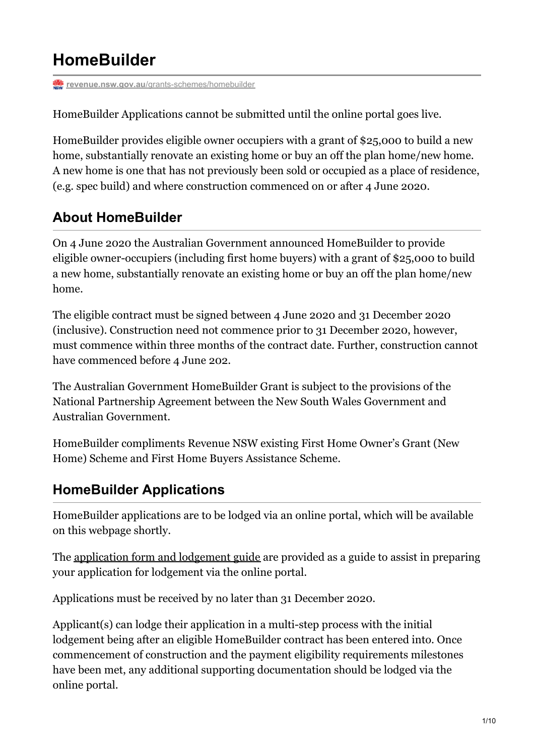# **HomeBuilder**

**revenue.nsw.gov.au**[/grants-schemes/homebuilder](https://www.revenue.nsw.gov.au/grants-schemes/homebuilder)

HomeBuilder Applications cannot be submitted until the online portal goes live.

HomeBuilder provides eligible owner occupiers with a grant of \$25,000 to build a new home, substantially renovate an existing home or buy an off the plan home/new home. A new home is one that has not previously been sold or occupied as a place of residence, (e.g. spec build) and where construction commenced on or after 4 June 2020.

# **About HomeBuilder**

On 4 June 2020 the Australian Government announced HomeBuilder to provide eligible owner-occupiers (including first home buyers) with a grant of \$25,000 to build a new home, substantially renovate an existing home or buy an off the plan home/new home.

The eligible contract must be signed between 4 June 2020 and 31 December 2020 (inclusive). Construction need not commence prior to 31 December 2020, however, must commence within three months of the contract date. Further, construction cannot have commenced before 4 June 202.

The Australian Government HomeBuilder Grant is subject to the provisions of the National Partnership Agreement between the New South Wales Government and Australian Government.

HomeBuilder compliments Revenue NSW existing First Home Owner's Grant (New Home) Scheme and First Home Buyers Assistance Scheme.

### **HomeBuilder Applications**

HomeBuilder applications are to be lodged via an online portal, which will be available on this webpage shortly.

The [application](https://www.revenue.nsw.gov.au/grants-schemes/homebuilder/HomeBuilder-Grant-Application-and-Guide.pdf) form and lodgement guide are provided as a guide to assist in preparing your application for lodgement via the online portal.

Applications must be received by no later than 31 December 2020.

Applicant(s) can lodge their application in a multi-step process with the initial lodgement being after an eligible HomeBuilder contract has been entered into. Once commencement of construction and the payment eligibility requirements milestones have been met, any additional supporting documentation should be lodged via the online portal.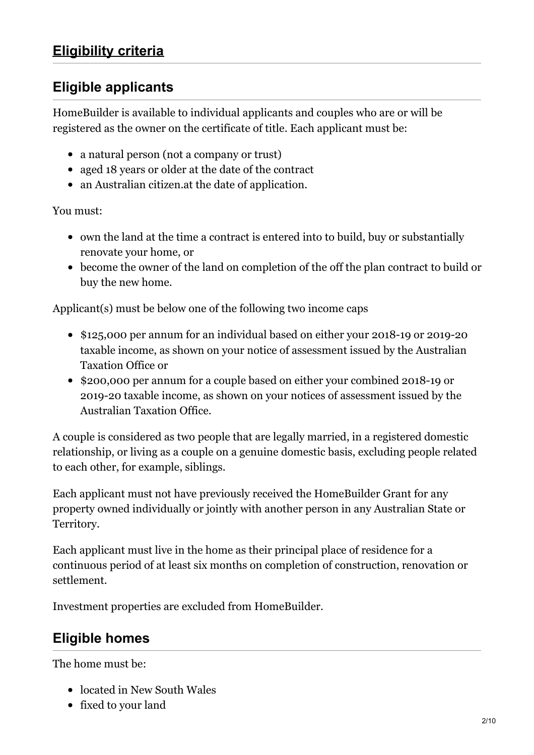### **Eligible applicants**

HomeBuilder is available to individual applicants and couples who are or will be registered as the owner on the certificate of title. Each applicant must be:

- a natural person (not a company or trust)
- aged 18 years or older at the date of the contract
- an Australian citizen.at the date of application.

You must:

- own the land at the time a contract is entered into to build, buy or substantially renovate your home, or
- become the owner of the land on completion of the off the plan contract to build or buy the new home.

Applicant(s) must be below one of the following two income caps

- \$125,000 per annum for an individual based on either your 2018-19 or 2019-20 taxable income, as shown on your notice of assessment issued by the Australian Taxation Office or
- \$200,000 per annum for a couple based on either your combined 2018-19 or 2019-20 taxable income, as shown on your notices of assessment issued by the Australian Taxation Office.

A couple is considered as two people that are legally married, in a registered domestic relationship, or living as a couple on a genuine domestic basis, excluding people related to each other, for example, siblings.

Each applicant must not have previously received the HomeBuilder Grant for any property owned individually or jointly with another person in any Australian State or Territory.

Each applicant must live in the home as their principal place of residence for a continuous period of at least six months on completion of construction, renovation or settlement.

Investment properties are excluded from HomeBuilder.

### **Eligible homes**

The home must be:

- located in New South Wales
- fixed to your land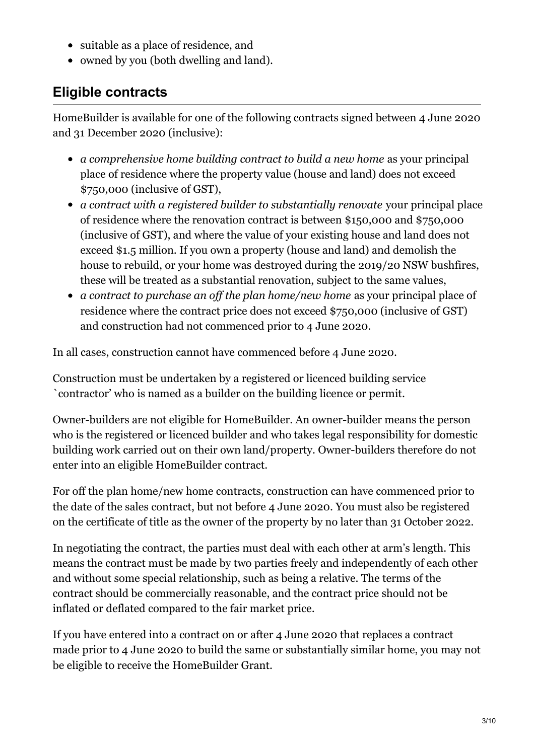- suitable as a place of residence, and
- owned by you (both dwelling and land).

### **Eligible contracts**

HomeBuilder is available for one of the following contracts signed between 4 June 2020 and 31 December 2020 (inclusive):

- *a comprehensive home building contract to build a new home* as your principal place of residence where the property value (house and land) does not exceed \$750,000 (inclusive of GST),
- *a contract with a registered builder to substantially renovate* your principal place of residence where the renovation contract is between \$150,000 and \$750,000 (inclusive of GST), and where the value of your existing house and land does not exceed \$1.5 million. If you own a property (house and land) and demolish the house to rebuild, or your home was destroyed during the 2019/20 NSW bushfires, these will be treated as a substantial renovation, subject to the same values,
- *a contract to purchase an of the plan home/new home* as your principal place of residence where the contract price does not exceed \$750,000 (inclusive of GST) and construction had not commenced prior to 4 June 2020.

In all cases, construction cannot have commenced before 4 June 2020.

Construction must be undertaken by a registered or licenced building service `contractor' who is named as a builder on the building licence or permit.

Owner-builders are not eligible for HomeBuilder. An owner-builder means the person who is the registered or licenced builder and who takes legal responsibility for domestic building work carried out on their own land/property. Owner-builders therefore do not enter into an eligible HomeBuilder contract.

For off the plan home/new home contracts, construction can have commenced prior to the date of the sales contract, but not before 4 June 2020. You must also be registered on the certificate of title as the owner of the property by no later than 31 October 2022.

In negotiating the contract, the parties must deal with each other at arm's length. This means the contract must be made by two parties freely and independently of each other and without some special relationship, such as being a relative. The terms of the contract should be commercially reasonable, and the contract price should not be inflated or deflated compared to the fair market price.

If you have entered into a contract on or after 4 June 2020 that replaces a contract made prior to 4 June 2020 to build the same or substantially similar home, you may not be eligible to receive the HomeBuilder Grant.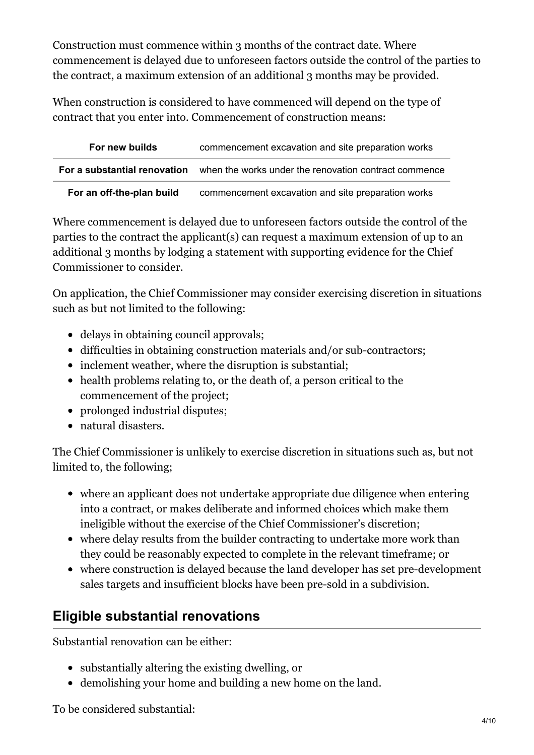Construction must commence within 3 months of the contract date. Where commencement is delayed due to unforeseen factors outside the control of the parties to the contract, a maximum extension of an additional 3 months may be provided.

When construction is considered to have commenced will depend on the type of contract that you enter into. Commencement of construction means:

| For new builds            | commencement excavation and site preparation works                                        |
|---------------------------|-------------------------------------------------------------------------------------------|
|                           | <b>For a substantial renovation</b> when the works under the renovation contract commence |
| For an off-the-plan build | commencement excavation and site preparation works                                        |

Where commencement is delayed due to unforeseen factors outside the control of the parties to the contract the applicant(s) can request a maximum extension of up to an additional 3 months by lodging a statement with supporting evidence for the Chief Commissioner to consider.

On application, the Chief Commissioner may consider exercising discretion in situations such as but not limited to the following:

- delays in obtaining council approvals;
- difficulties in obtaining construction materials and/or sub-contractors;
- inclement weather, where the disruption is substantial;
- health problems relating to, or the death of, a person critical to the commencement of the project;
- prolonged industrial disputes;
- natural disasters.

The Chief Commissioner is unlikely to exercise discretion in situations such as, but not limited to, the following;

- where an applicant does not undertake appropriate due diligence when entering into a contract, or makes deliberate and informed choices which make them ineligible without the exercise of the Chief Commissioner's discretion;
- where delay results from the builder contracting to undertake more work than they could be reasonably expected to complete in the relevant timeframe; or
- where construction is delayed because the land developer has set pre-development sales targets and insufficient blocks have been pre-sold in a subdivision.

### **Eligible substantial renovations**

Substantial renovation can be either:

- substantially altering the existing dwelling, or
- demolishing your home and building a new home on the land.

To be considered substantial: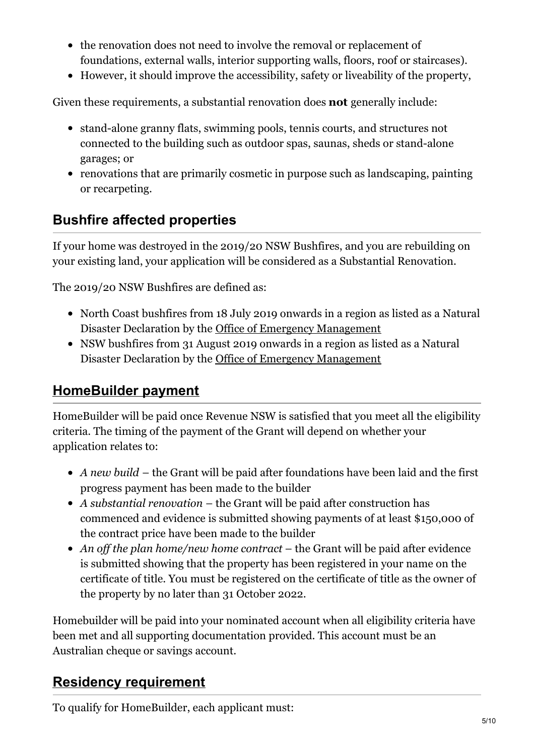- the renovation does not need to involve the removal or replacement of foundations, external walls, interior supporting walls, floors, roof or staircases).
- However, it should improve the accessibility, safety or liveability of the property,

Given these requirements, a substantial renovation does **not** generally include:

- stand-alone granny flats, swimming pools, tennis courts, and structures not connected to the building such as outdoor spas, saunas, sheds or stand-alone garages; or
- renovations that are primarily cosmetic in purpose such as landscaping, painting or recarpeting.

### **Bushfire affected properties**

If your home was destroyed in the 2019/20 NSW Bushfires, and you are rebuilding on your existing land, your application will be considered as a Substantial Renovation.

The 2019/20 NSW Bushfires are defined as:

- North Coast bushfires from 18 July 2019 onwards in a region as listed as a Natural Disaster Declaration by the Office of Emergency [Management](https://www.emergency.nsw.gov.au/Pages/publications/natural-disaster-declarations/2019-2020.aspx)
- NSW bushfires from 31 August 2019 onwards in a region as listed as a Natural Disaster Declaration by the Office of Emergency [Management](https://www.emergency.nsw.gov.au/Pages/publications/natural-disaster-declarations/2019-2020.aspx)

# **[HomeBuilder](https://www.revenue.nsw.gov.au/grants-schemes/homebuilder#accordion__target-878157-1) payment**

HomeBuilder will be paid once Revenue NSW is satisfied that you meet all the eligibility criteria. The timing of the payment of the Grant will depend on whether your application relates to:

- *A new build* the Grant will be paid after foundations have been laid and the first progress payment has been made to the builder
- *A substantial renovation* the Grant will be paid after construction has commenced and evidence is submitted showing payments of at least \$150,000 of the contract price have been made to the builder
- *An of the plan home/new home contract* the Grant will be paid after evidence is submitted showing that the property has been registered in your name on the certificate of title. You must be registered on the certificate of title as the owner of the property by no later than 31 October 2022.

Homebuilder will be paid into your nominated account when all eligibility criteria have been met and all supporting documentation provided. This account must be an Australian cheque or savings account.

### **Residency [requirement](https://www.revenue.nsw.gov.au/grants-schemes/homebuilder#accordion__target-878162-1)**

To qualify for HomeBuilder, each applicant must: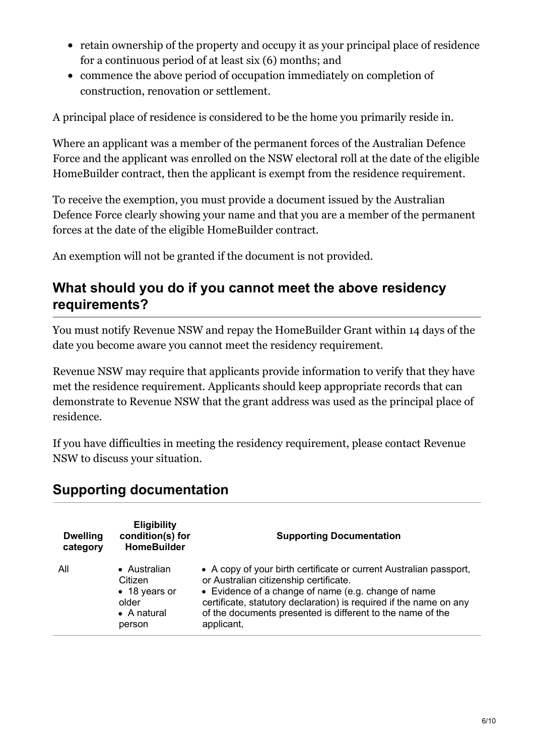- retain ownership of the property and occupy it as your principal place of residence for a continuous period of at least six (6) months; and
- commence the above period of occupation immediately on completion of construction, renovation or settlement.

A principal place of residence is considered to be the home you primarily reside in.

Where an applicant was a member of the permanent forces of the Australian Defence Force and the applicant was enrolled on the NSW electoral roll at the date of the eligible HomeBuilder contract, then the applicant is exempt from the residence requirement.

To receive the exemption, you must provide a document issued by the Australian Defence Force clearly showing your name and that you are a member of the permanent forces at the date of the eligible HomeBuilder contract.

An exemption will not be granted if the document is not provided.

### **What should you do if you cannot meet the above residency requirements?**

You must notify Revenue NSW and repay the HomeBuilder Grant within 14 days of the date you become aware you cannot meet the residency requirement.

Revenue NSW may require that applicants provide information to verify that they have met the residence requirement. Applicants should keep appropriate records that can demonstrate to Revenue NSW that the grant address was used as the principal place of residence.

If you have difficulties in meeting the residency requirement, please contact Revenue NSW to discuss your situation.

### **Supporting documentation**

| <b>Dwelling</b><br>category | <b>Eligibility</b><br>condition(s) for<br><b>HomeBuilder</b>                       | <b>Supporting Documentation</b>                                                                                                                                                                                                                                                                                       |
|-----------------------------|------------------------------------------------------------------------------------|-----------------------------------------------------------------------------------------------------------------------------------------------------------------------------------------------------------------------------------------------------------------------------------------------------------------------|
| All                         | • Australian<br>Citizen<br>• 18 years or<br>older<br>$\bullet$ A natural<br>person | • A copy of your birth certificate or current Australian passport,<br>or Australian citizenship certificate.<br>• Evidence of a change of name (e.g. change of name<br>certificate, statutory declaration) is required if the name on any<br>of the documents presented is different to the name of the<br>applicant, |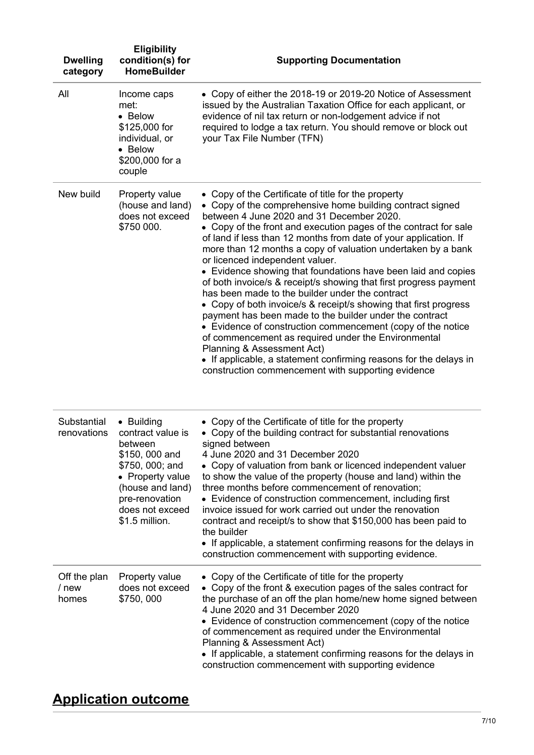| <b>Dwelling</b><br>category    | <b>Eligibility</b><br>condition(s) for<br><b>HomeBuilder</b>                                                                                                                   | <b>Supporting Documentation</b>                                                                                                                                                                                                                                                                                                                                                                                                                                                                                                                                                                                                                                                                                                                                                                                                                                                                                                                                                                                 |
|--------------------------------|--------------------------------------------------------------------------------------------------------------------------------------------------------------------------------|-----------------------------------------------------------------------------------------------------------------------------------------------------------------------------------------------------------------------------------------------------------------------------------------------------------------------------------------------------------------------------------------------------------------------------------------------------------------------------------------------------------------------------------------------------------------------------------------------------------------------------------------------------------------------------------------------------------------------------------------------------------------------------------------------------------------------------------------------------------------------------------------------------------------------------------------------------------------------------------------------------------------|
| All                            | Income caps<br>met:<br>• Below<br>\$125,000 for<br>individual, or<br>• Below<br>\$200,000 for a<br>couple                                                                      | • Copy of either the 2018-19 or 2019-20 Notice of Assessment<br>issued by the Australian Taxation Office for each applicant, or<br>evidence of nil tax return or non-lodgement advice if not<br>required to lodge a tax return. You should remove or block out<br>your Tax File Number (TFN)                                                                                                                                                                                                                                                                                                                                                                                                                                                                                                                                                                                                                                                                                                                    |
| New build                      | Property value<br>(house and land)<br>does not exceed<br>\$750 000.                                                                                                            | • Copy of the Certificate of title for the property<br>• Copy of the comprehensive home building contract signed<br>between 4 June 2020 and 31 December 2020.<br>• Copy of the front and execution pages of the contract for sale<br>of land if less than 12 months from date of your application. If<br>more than 12 months a copy of valuation undertaken by a bank<br>or licenced independent valuer.<br>• Evidence showing that foundations have been laid and copies<br>of both invoice/s & receipt/s showing that first progress payment<br>has been made to the builder under the contract<br>• Copy of both invoice/s & receipt/s showing that first progress<br>payment has been made to the builder under the contract<br>• Evidence of construction commencement (copy of the notice<br>of commencement as required under the Environmental<br>Planning & Assessment Act)<br>• If applicable, a statement confirming reasons for the delays in<br>construction commencement with supporting evidence |
| Substantial<br>renovations     | • Building<br>contract value is<br>between<br>\$150, 000 and<br>\$750, 000; and<br>• Property value<br>(house and land)<br>pre-renovation<br>does not exceed<br>\$1.5 million. | • Copy of the Certificate of title for the property<br>• Copy of the building contract for substantial renovations<br>signed between<br>4 June 2020 and 31 December 2020<br>• Copy of valuation from bank or licenced independent valuer<br>to show the value of the property (house and land) within the<br>three months before commencement of renovation;<br>• Evidence of construction commencement, including first<br>invoice issued for work carried out under the renovation<br>contract and receipt/s to show that \$150,000 has been paid to<br>the builder<br>• If applicable, a statement confirming reasons for the delays in<br>construction commencement with supporting evidence.                                                                                                                                                                                                                                                                                                               |
| Off the plan<br>/ new<br>homes | Property value<br>does not exceed<br>\$750,000                                                                                                                                 | • Copy of the Certificate of title for the property<br>• Copy of the front & execution pages of the sales contract for<br>the purchase of an off the plan home/new home signed between<br>4 June 2020 and 31 December 2020<br>• Evidence of construction commencement (copy of the notice<br>of commencement as required under the Environmental<br>Planning & Assessment Act)<br>• If applicable, a statement confirming reasons for the delays in<br>construction commencement with supporting evidence                                                                                                                                                                                                                                                                                                                                                                                                                                                                                                       |

# **[Application](https://www.revenue.nsw.gov.au/grants-schemes/homebuilder#accordion__target-878166-1) outcome**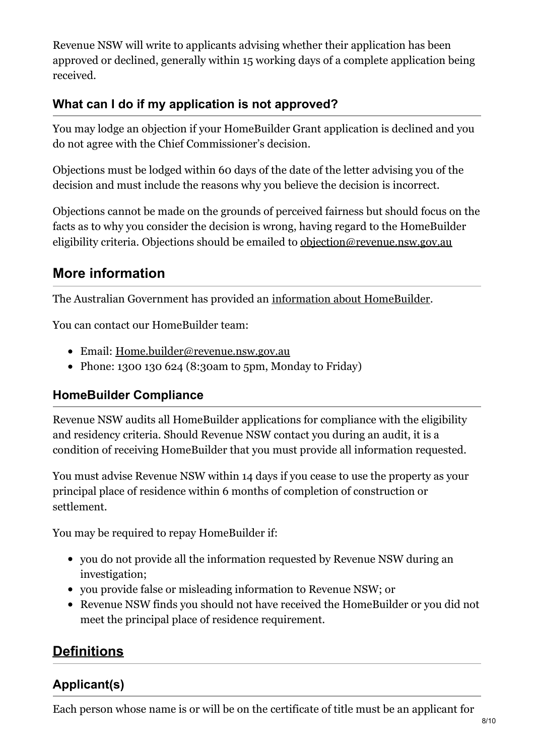Revenue NSW will write to applicants advising whether their application has been approved or declined, generally within 15 working days of a complete application being received.

### **What can I do if my application is not approved?**

You may lodge an objection if your HomeBuilder Grant application is declined and you do not agree with the Chief Commissioner's decision.

Objections must be lodged within 60 days of the date of the letter advising you of the decision and must include the reasons why you believe the decision is incorrect.

Objections cannot be made on the grounds of perceived fairness but should focus on the facts as to why you consider the decision is wrong, having regard to the HomeBuilder eligibility criteria. Objections should be emailed to [objection@revenue.nsw.gov.au](mailto:objection@revenue.nsw.gov.au)

### **More information**

The Australian Government has provided an information about [HomeBuilder](https://treasury.gov.au/coronavirus/homebuilder).

You can contact our HomeBuilder team:

- Email: [Home.builder@revenue.nsw.gov.au](mailto:Home.builder@revenue.nsw.gov.au)
- Phone: 1300 130 624 (8:30am to 5pm, Monday to Friday)

### **HomeBuilder Compliance**

Revenue NSW audits all HomeBuilder applications for compliance with the eligibility and residency criteria. Should Revenue NSW contact you during an audit, it is a condition of receiving HomeBuilder that you must provide all information requested.

You must advise Revenue NSW within 14 days if you cease to use the property as your principal place of residence within 6 months of completion of construction or settlement.

You may be required to repay HomeBuilder if:

- you do not provide all the information requested by Revenue NSW during an investigation;
- you provide false or misleading information to Revenue NSW; or
- Revenue NSW finds you should not have received the HomeBuilder or you did not meet the principal place of residence requirement.

### **[Definitions](https://www.revenue.nsw.gov.au/grants-schemes/homebuilder#accordion__target-878170-1)**

### **Applicant(s)**

Each person whose name is or will be on the certificate of title must be an applicant for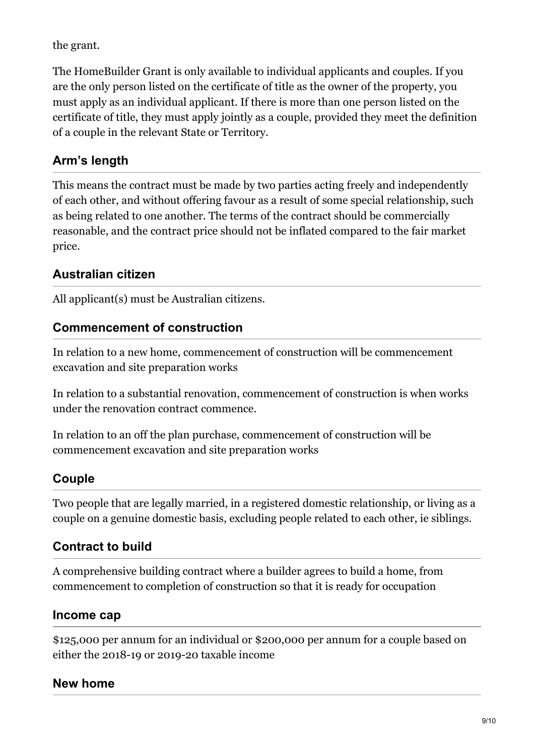the grant.

The HomeBuilder Grant is only available to individual applicants and couples. If you are the only person listed on the certificate of title as the owner of the property, you must apply as an individual applicant. If there is more than one person listed on the certificate of title, they must apply jointly as a couple, provided they meet the definition of a couple in the relevant State or Territory.

### **Arm's length**

This means the contract must be made by two parties acting freely and independently of each other, and without offering favour as a result of some special relationship, such as being related to one another. The terms of the contract should be commercially reasonable, and the contract price should not be inflated compared to the fair market price.

### **Australian citizen**

All applicant(s) must be Australian citizens.

### **Commencement of construction**

In relation to a new home, commencement of construction will be commencement excavation and site preparation works

In relation to a substantial renovation, commencement of construction is when works under the renovation contract commence.

In relation to an off the plan purchase, commencement of construction will be commencement excavation and site preparation works

### **Couple**

Two people that are legally married, in a registered domestic relationship, or living as a couple on a genuine domestic basis, excluding people related to each other, ie siblings.

### **Contract to build**

A comprehensive building contract where a builder agrees to build a home, from commencement to completion of construction so that it is ready for occupation

### **Income cap**

\$125,000 per annum for an individual or \$200,000 per annum for a couple based on either the 2018-19 or 2019-20 taxable income

### **New home**